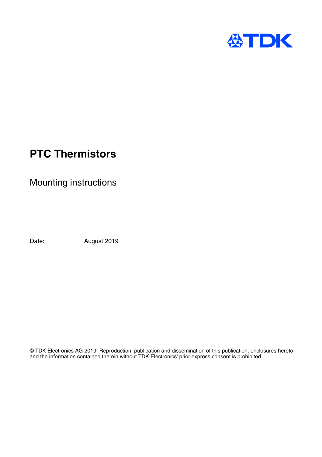

# **PTC Thermistors**

Mounting instructions

Date: August 2019

© TDK Electronics AG 2019. Reproduction, publication and dissemination of this publication, enclosures hereto and the information contained therein without TDK Electronics' prior express consent is prohibited.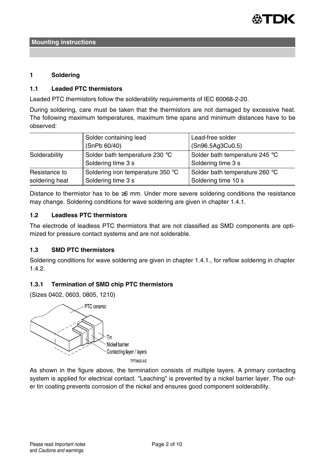

#### **1 Soldering**

#### **1.1 Leaded PTC thermistors**

Leaded PTC thermistors follow the solderability requirements of IEC 60068-2-20.

During soldering, care must be taken that the thermistors are not damaged by excessive heat. The following maximum temperatures, maximum time spans and minimum distances have to be observed:

|                                 | Solder containing lead                                  | Lead-free solder                                      |
|---------------------------------|---------------------------------------------------------|-------------------------------------------------------|
|                                 | (SnPb 60/40)                                            | (Sn96.5Ag3Cu0.5)                                      |
| Solderability                   | Solder bath temperature 230 °C<br>Soldering time 3 s    | Solder bath temperature 245 °C<br>Soldering time 3 s  |
| Resistance to<br>soldering heat | Soldering iron temperature 350 °C<br>Soldering time 3 s | Solder bath temperature 260 °C<br>Soldering time 10 s |

Distance to thermistor has to be ≥6 mm. Under more severe soldering conditions the resistance may change. Soldering conditions for wave soldering are given in chapter 1.4.1.

### **1.2 Leadless PTC thermistors**

The electrode of leadless PTC thermistors that are not classified as SMD components are optimized for pressure contact systems and are not solderable.

# **1.3 SMD PTC thermistors**

Soldering conditions for wave soldering are given in chapter 1.4.1., for reflow soldering in chapter 1.4.2.

### **1.3.1 Termination of SMD chip PTC thermistors**

(Sizes 0402, 0603, 0805, 1210)



As shown in the figure above, the termination consists of multiple layers. A primary contacting system is applied for electrical contact. "Leaching" is prevented by a nickel barrier layer. The outer tin coating prevents corrosion of the nickel and ensures good component solderability.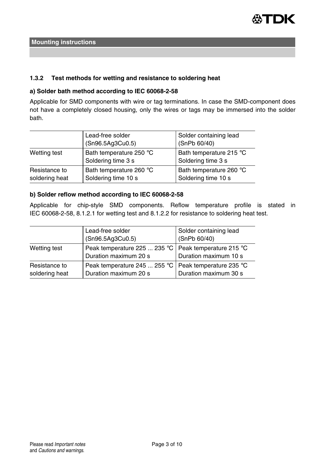

## **1.3.2 Test methods for wetting and resistance to soldering heat**

## **a) Solder bath method according to IEC 60068-2-58**

Applicable for SMD components with wire or tag terminations. In case the SMD-component does not have a completely closed housing, only the wires or tags may be immersed into the solder bath.

|                                 | Lead-free solder<br>(Sn96.5Ag3Cu0.5)           | Solder containing lead<br>(SnPb 60/40)         |
|---------------------------------|------------------------------------------------|------------------------------------------------|
| Wetting test                    | Bath temperature 250 °C<br>Soldering time 3 s  | Bath temperature 215 °C<br>Soldering time 3 s  |
| Resistance to<br>soldering heat | Bath temperature 260 °C<br>Soldering time 10 s | Bath temperature 260 °C<br>Soldering time 10 s |

## **b) Solder reflow method according to IEC 60068-2-58**

Applicable for chip-style SMD components. Reflow temperature profile is stated in IEC 60068-2-58, 8.1.2.1 for wetting test and 8.1.2.2 for resistance to soldering heat test.

|                                 | Lead-free solder<br>(Sn96.5Ag3Cu0.5)                                            | Solder containing lead<br>(SnPb 60/40) |
|---------------------------------|---------------------------------------------------------------------------------|----------------------------------------|
| Wetting test                    | Peak temperature 225  235 °C   Peak temperature 215 °C<br>Duration maximum 20 s | Duration maximum 10 s                  |
| Resistance to<br>soldering heat | Peak temperature 245  255 °C   Peak temperature 235 °C<br>Duration maximum 20 s | Duration maximum 30 s                  |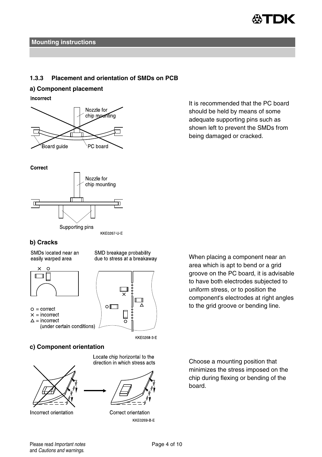

### **1.3.3 Placement and orientation of SMDs on PCB**

## **a) Component placement**

Incorrect



It is recommended that the PC board should be held by means of some adequate supporting pins such as shown left to prevent the SMDs from being damaged or cracked.





KKE0267-U-E

SMD breakage probability

due to stress at a breakaway

## **b) Cracks**

SMDs located near an easily warped area



- $O =$  correct
- $\times$  = incorrect
- $\Delta$  = incorrect (under certain conditions)
- $\overline{\mathbf{u}}$ ⊼  $\circ$  $\Box$ oЩ

KKE0268 3 E

# **c) Component orientation**



Incorrect orientation

Locate chip horizontal to the direction in which stress acts



Correct orientation KKE0269-B-E

When placing a component near an area which is apt to bend or a grid groove on the PC board, it is advisable to have both electrodes subjected to uniform stress, or to position the component's electrodes at right angles to the grid groove or bending line.

Choose a mounting position that minimizes the stress imposed on the chip during flexing or bending of the board.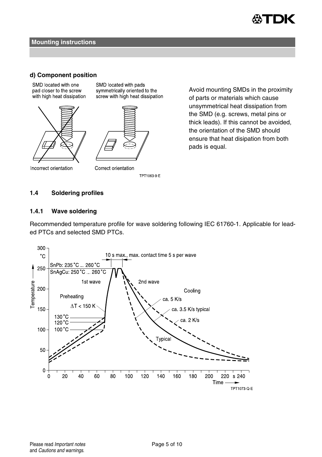

### **d) Component position**

SMD located with one pad closer to the screw with high heat dissipation



SMD located with pads symmetrically oriented to the screw with high heat dissipation



Incorrect orientation

Correct orientation TPT1063-9-F Avoid mounting SMDs in the proximity of parts or materials which cause unsymmetrical heat dissipation from the SMD (e.g. screws, metal pins or thick leads). If this cannot be avoided, the orientation of the SMD should ensure that heat disipation from both pads is equal.

## **1.4 Soldering profiles**

# **1.4.1 Wave soldering**

Recommended temperature profile for wave soldering following IEC 61760-1. Applicable for leaded PTCs and selected SMD PTCs.

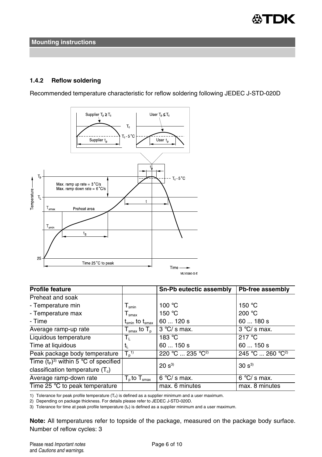

# **1.4.2 Reflow soldering**

Recommended temperature characteristic for reflow soldering following JEDEC J-STD-020D



| <b>Profile feature</b>                  |                                                        | Sn-Pb eutectic assembly      | Pb-free assembly             |
|-----------------------------------------|--------------------------------------------------------|------------------------------|------------------------------|
| Preheat and soak                        |                                                        |                              |                              |
| - Temperature min                       | $T_{\sf smin}$                                         | 100 $\degree$ C              | 150 $\degree$ C              |
| - Temperature max                       | $I_{\rm smax}$                                         | 150 $\degree$ C              | 200 $°C$                     |
| - Time                                  | $\mathfrak{t}_{\sf smin}$ to $\mathfrak{t}_{\sf smax}$ | 60120s                       | 60180s                       |
| Average ramp-up rate                    | ${\mathsf T}_{\sf smax}$ to ${\mathsf T}_{\sf p}$      | $3^{\circ}$ C/s max.         | $3^{\circ}$ C/s max.         |
| Liquidous temperature                   | Т,                                                     | 183 °C                       | 217 $\degree$ C              |
| Time at liquidous                       | tı.                                                    | 60150s                       | 60150s                       |
| Peak package body temperature           | T <sub>0</sub> <sup>1</sup>                            | 220 °C  235 °C <sup>2)</sup> | 245 °C  260 °C <sup>2)</sup> |
| Time $(t_P)^3$ within 5 °C of specified |                                                        | $20 s^{3}$                   | $30 s^{3}$                   |
| classification temperature $(T_c)$      |                                                        |                              |                              |
| Average ramp-down rate                  | $\overline{T}_{\text{o}}$ to $T_{\text{smax}}$         | $6^{\circ}$ C/ s max.        | $6^{\circ}$ C/s max.         |
| Time 25 $\degree$ C to peak temperature |                                                        | max. 6 minutes               | max. 8 minutes               |

1) Tolerance for peak profile temperature  $(T_P)$  is defined as a supplier minimum and a user maximum.

2) Depending on package thickness. For details please refer to JEDEC J-STD-020D.

3) Tolerance for time at peak profile temperature  $(t_P)$  is defined as a supplier minimum and a user maximum.

**Note:** All temperatures refer to topside of the package, measured on the package body surface. Number of reflow cycles: 3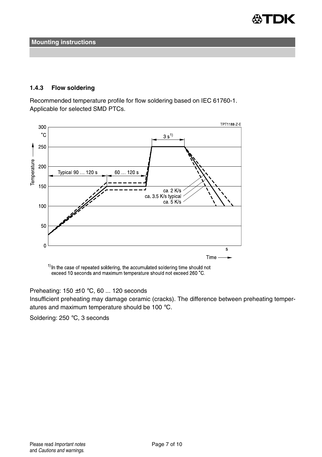

# **1.4.3 Flow soldering**

Recommended temperature profile for flow soldering based on IEC 61760-1. Applicable for selected SMD PTCs.



<sup>1)</sup> In the case of repeated soldering, the accumulated soldering time should not exceed 10 seconds and maximum temperature should not exceed 260 °C.

# Preheating:  $150 \pm 10$  °C, 60 ... 120 seconds

Insufficient preheating may damage ceramic (cracks). The difference between preheating temperatures and maximum temperature should be 100 °C.

Soldering: 250 °C, 3 seconds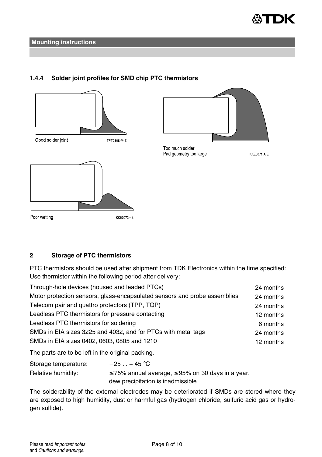

# **1.4.4 Solder joint profiles for SMD chip PTC thermistors**





Too much solder Pad geometry too large

**KKE0071 A E** 

# **2 Storage of PTC thermistors**

PTC thermistors should be used after shipment from TDK Electronics within the time specified: Use thermistor within the following period after delivery:

| Through-hole devices (housed and leaded PTCs)                             | 24 months |
|---------------------------------------------------------------------------|-----------|
| Motor protection sensors, glass-encapsulated sensors and probe assemblies | 24 months |
| Telecom pair and quattro protectors (TPP, TQP)                            | 24 months |
| Leadless PTC thermistors for pressure contacting                          | 12 months |
| Leadless PTC thermistors for soldering                                    | 6 months  |
| SMDs in EIA sizes 3225 and 4032, and for PTCs with metal tags             | 24 months |
| SMDs in EIA sizes 0402, 0603, 0805 and 1210                               | 12 months |
|                                                                           |           |

The parts are to be left in the original packing.

| Storage temperature: | $-25$ + 45 °C                                               |
|----------------------|-------------------------------------------------------------|
| Relative humidity:   | $\leq$ 75% annual average, $\leq$ 95% on 30 days in a year, |
|                      | dew precipitation is inadmissible                           |

The solderability of the external electrodes may be deteriorated if SMDs are stored where they are exposed to high humidity, dust or harmful gas (hydrogen chloride, sulfuric acid gas or hydrogen sulfide).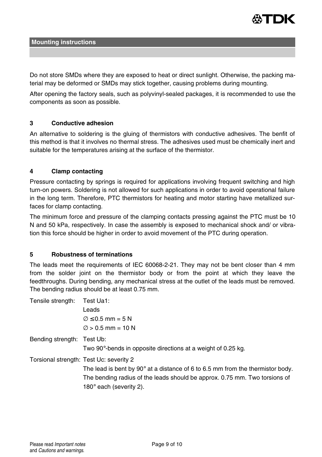

Do not store SMDs where they are exposed to heat or direct sunlight. Otherwise, the packing material may be deformed or SMDs may stick together, causing problems during mounting.

After opening the factory seals, such as polyvinyl-sealed packages, it is recommended to use the components as soon as possible.

## **3 Conductive adhesion**

An alternative to soldering is the gluing of thermistors with conductive adhesives. The benfit of this method is that it involves no thermal stress. The adhesives used must be chemically inert and suitable for the temperatures arising at the surface of the thermistor.

## **4 Clamp contacting**

Pressure contacting by springs is required for applications involving frequent switching and high turn-on powers. Soldering is not allowed for such applications in order to avoid operational failure in the long term. Therefore, PTC thermistors for heating and motor starting have metallized surfaces for clamp contacting.

The minimum force and pressure of the clamping contacts pressing against the PTC must be 10 N and 50 kPa, respectively. In case the assembly is exposed to mechanical shock and/ or vibration this force should be higher in order to avoid movement of the PTC during operation.

### **5 Robustness of terminations**

The leads meet the requirements of IEC 60068-2-21. They may not be bent closer than 4 mm from the solder joint on the thermistor body or from the point at which they leave the feedthroughs. During bending, any mechanical stress at the outlet of the leads must be removed. The bending radius should be at least 0.75 mm.

| Tensile strength:<br>Test Ua1:                                                           |  |
|------------------------------------------------------------------------------------------|--|
| Leads                                                                                    |  |
| $\varnothing$ $\leq$ 0.5 mm = 5 N                                                        |  |
| $\varnothing$ > 0.5 mm = 10 N                                                            |  |
| Bending strength: Test Ub:                                                               |  |
| Two 90°-bends in opposite directions at a weight of 0.25 kg.                             |  |
| Torsional strength: Test Uc: severity 2                                                  |  |
| The lead is bent by 90 $^{\circ}$ at a distance of 6 to 6.5 mm from the thermistor body. |  |
| The bending radius of the leads should be approx. 0.75 mm. Two torsions of               |  |
| 180 $^{\circ}$ each (severity 2).                                                        |  |